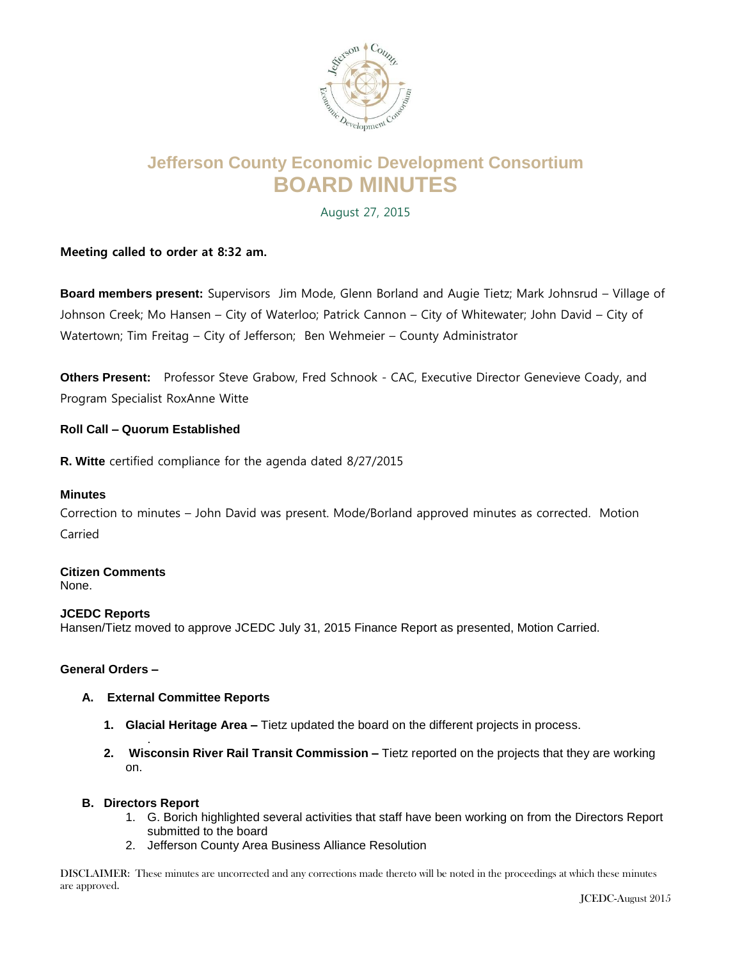

# **Jefferson County Economic Development Consortium BOARD MINUTES**

August 27, 2015

## **Meeting called to order at 8:32 am.**

**Board members present:** Supervisors Jim Mode, Glenn Borland and Augie Tietz; Mark Johnsrud – Village of Johnson Creek; Mo Hansen – City of Waterloo; Patrick Cannon – City of Whitewater; John David – City of Watertown; Tim Freitag – City of Jefferson; Ben Wehmeier – County Administrator

**Others Present:** Professor Steve Grabow, Fred Schnook - CAC, Executive Director Genevieve Coady, and Program Specialist RoxAnne Witte

## **Roll Call – Quorum Established**

**R. Witte** certified compliance for the agenda dated 8/27/2015

### **Minutes**

Correction to minutes – John David was present. Mode/Borland approved minutes as corrected. Motion Carried

#### **Citizen Comments** None.

## **JCEDC Reports**

Hansen/Tietz moved to approve JCEDC July 31, 2015 Finance Report as presented, Motion Carried.

## **General Orders –**

### **A. External Committee Reports**

- **1. Glacial Heritage Area –** Tietz updated the board on the different projects in process.
- . **2. Wisconsin River Rail Transit Commission –** Tietz reported on the projects that they are working on.

### **B. Directors Report**

- 1. G. Borich highlighted several activities that staff have been working on from the Directors Report submitted to the board
- 2. Jefferson County Area Business Alliance Resolution

DISCLAIMER: These minutes are uncorrected and any corrections made thereto will be noted in the proceedings at which these minutes are approved.